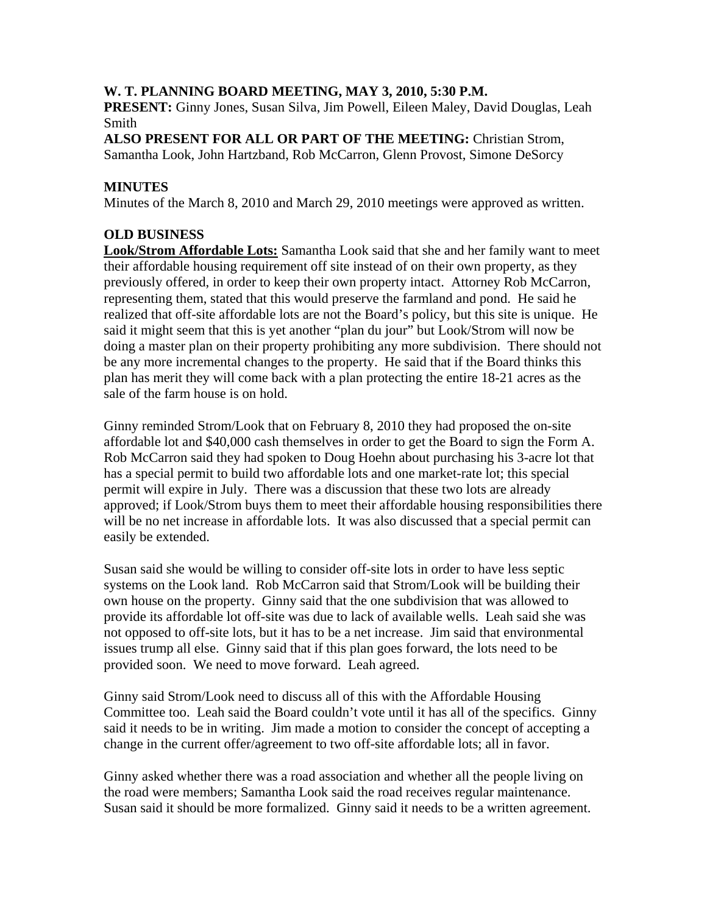### **W. T. PLANNING BOARD MEETING, MAY 3, 2010, 5:30 P.M.**

**PRESENT:** Ginny Jones, Susan Silva, Jim Powell, Eileen Maley, David Douglas, Leah Smith

**ALSO PRESENT FOR ALL OR PART OF THE MEETING:** Christian Strom, Samantha Look, John Hartzband, Rob McCarron, Glenn Provost, Simone DeSorcy

# **MINUTES**

Minutes of the March 8, 2010 and March 29, 2010 meetings were approved as written.

### **OLD BUSINESS**

**Look/Strom Affordable Lots:** Samantha Look said that she and her family want to meet their affordable housing requirement off site instead of on their own property, as they previously offered, in order to keep their own property intact. Attorney Rob McCarron, representing them, stated that this would preserve the farmland and pond. He said he realized that off-site affordable lots are not the Board's policy, but this site is unique. He said it might seem that this is yet another "plan du jour" but Look/Strom will now be doing a master plan on their property prohibiting any more subdivision. There should not be any more incremental changes to the property. He said that if the Board thinks this plan has merit they will come back with a plan protecting the entire 18-21 acres as the sale of the farm house is on hold.

Ginny reminded Strom/Look that on February 8, 2010 they had proposed the on-site affordable lot and \$40,000 cash themselves in order to get the Board to sign the Form A. Rob McCarron said they had spoken to Doug Hoehn about purchasing his 3-acre lot that has a special permit to build two affordable lots and one market-rate lot; this special permit will expire in July. There was a discussion that these two lots are already approved; if Look/Strom buys them to meet their affordable housing responsibilities there will be no net increase in affordable lots. It was also discussed that a special permit can easily be extended.

Susan said she would be willing to consider off-site lots in order to have less septic systems on the Look land. Rob McCarron said that Strom/Look will be building their own house on the property. Ginny said that the one subdivision that was allowed to provide its affordable lot off-site was due to lack of available wells. Leah said she was not opposed to off-site lots, but it has to be a net increase. Jim said that environmental issues trump all else. Ginny said that if this plan goes forward, the lots need to be provided soon. We need to move forward. Leah agreed.

Ginny said Strom/Look need to discuss all of this with the Affordable Housing Committee too. Leah said the Board couldn't vote until it has all of the specifics. Ginny said it needs to be in writing. Jim made a motion to consider the concept of accepting a change in the current offer/agreement to two off-site affordable lots; all in favor.

Ginny asked whether there was a road association and whether all the people living on the road were members; Samantha Look said the road receives regular maintenance. Susan said it should be more formalized. Ginny said it needs to be a written agreement.